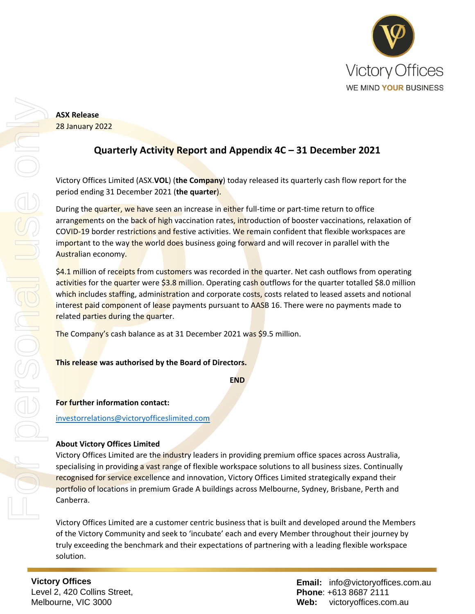

**ASX Release** 28 January 2022

## **Quarterly Activity Report and Appendix 4C – 31 December 2021**

Victory Offices Limited (ASX.**VOL**) (**the Company**) today released its quarterly cash flow report for the period ending 31 December 2021 (**the quarter**).

During the quarter, we have seen an increase in either full-time or part-time return to office arrangements on the back of high vaccination rates, introduction of booster vaccinations, relaxation of COVID-19 border restrictions and festive activities. We remain confident that flexible workspaces are important to the way the world does business going forward and will recover in parallel with the Australian economy.

\$4.1 million of receipts from customers was recorded in the quarter. Net cash outflows from operating activities for the quarter were \$3.8 million. Operating cash outflows for the quarter totalled \$8.0 million which includes staffing, administration and corporate costs, costs related to leased assets and notional interest paid component of lease payments pursuant to AASB 16. There were no payments made to related parties during the quarter.

The Company's cash balance as at 31 December 2021 was \$9.5 million.

### **This release was authorised by the Board of Directors.**

**END**

**For further information contact:**

[investorrelations@victoryofficeslimited.com](mailto:investorrelations@victoryofficeslimited.com)

### **About Victory Offices Limited**

Victory Offices Limited are the industry leaders in providing premium office spaces across Australia, specialising in providing a vast range of flexible workspace solutions to all business sizes. Continually recognised for service excellence and innovation, Victory Offices Limited strategically expand their portfolio of locations in premium Grade A buildings across Melbourne, Sydney, Brisbane, Perth and Canberra.

Victory Offices Limited are a customer centric business that is built and developed around the Members of the Victory Community and seek to 'incubate' each and every Member throughout their journey by truly exceeding the benchmark and their expectations of partnering with a leading flexible workspace solution.

**Victory Offices**  Level 2, 420 Collins Street, Melbourne, VIC 3000

**Email:** info@victoryoffices.com.au **Phone**: +613 8687 2111 **Web:** victoryoffices.com.au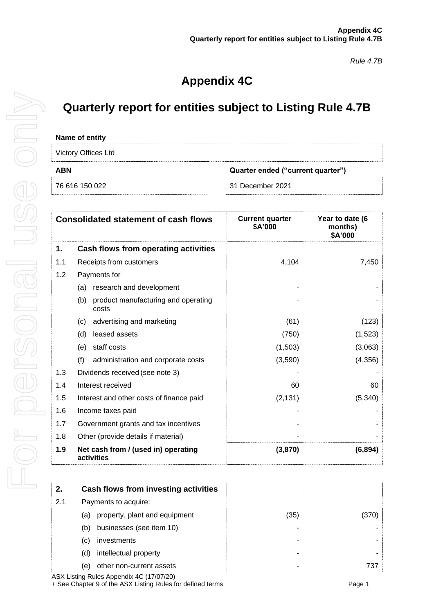*Rule 4.7B*

# **Appendix 4C**

## **Quarterly report for entities subject to Listing Rule 4.7B**

#### **Name of entity**

Victory Offices Ltd

| <b>VIOLUI Y OTHOOD LIG</b> |                                   |
|----------------------------|-----------------------------------|
| <b>ABN</b>                 | Quarter ended ("current quarter") |
| 76 616 150 022             | 31 December 2021                  |

| <b>Consolidated statement of cash flows</b> |                                                     | <b>Current quarter</b><br>Year to date (6<br>\$A'000<br>months)<br>\$A'000 |          |
|---------------------------------------------|-----------------------------------------------------|----------------------------------------------------------------------------|----------|
| 1.                                          | Cash flows from operating activities                |                                                                            |          |
| 1.1                                         | Receipts from customers                             | 4,104                                                                      | 7,450    |
| 1.2                                         | Payments for                                        |                                                                            |          |
|                                             | research and development<br>(a)                     |                                                                            |          |
|                                             | product manufacturing and operating<br>(b)<br>costs |                                                                            |          |
|                                             | advertising and marketing<br>(c)                    | (61)                                                                       | (123)    |
|                                             | leased assets<br>(d)                                | (750)                                                                      | (1,523)  |
|                                             | staff costs<br>(e)                                  | (1,503)                                                                    | (3,063)  |
|                                             | (f)<br>administration and corporate costs           | (3,590)                                                                    | (4, 356) |
| 1.3                                         | Dividends received (see note 3)                     |                                                                            |          |
| 1.4                                         | Interest received                                   | 60                                                                         | 60       |
| 1.5                                         | Interest and other costs of finance paid            | (2, 131)                                                                   | (5, 340) |
| 1.6                                         | Income taxes paid                                   |                                                                            |          |
| 1.7                                         | Government grants and tax incentives                |                                                                            |          |
| 1.8                                         | Other (provide details if material)                 |                                                                            |          |
| 1.9                                         | Net cash from / (used in) operating<br>activities   | (3,870)                                                                    | (6,894)  |

| Payments to acquire:                 |                                      |       |  |
|--------------------------------------|--------------------------------------|-------|--|
| property, plant and equipment<br>(a) | (35)                                 | (370) |  |
| businesses (see item 10)<br>(b)      |                                      |       |  |
| investments<br>(C)                   |                                      |       |  |
| intellectual property<br>(d)         |                                      |       |  |
| other non-current assets<br>e)       |                                      | 737   |  |
|                                      | Cash flows from investing activities |       |  |

ASX Listing Rules Appendix 4C (17/07/20) + See Chapter 9 of the ASX Listing Rules for defined terms **Page 1** Page 1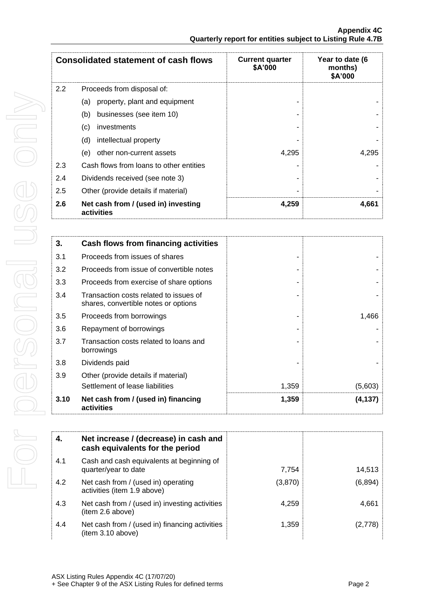| <b>Consolidated statement of cash flows</b> |                                                   | <b>Current quarter</b><br>\$A'000 | Year to date (6<br>months)<br>\$A'000 |
|---------------------------------------------|---------------------------------------------------|-----------------------------------|---------------------------------------|
| 2.2                                         | Proceeds from disposal of:                        |                                   |                                       |
|                                             | property, plant and equipment<br>(a)              |                                   |                                       |
|                                             | (b)<br>businesses (see item 10)                   |                                   |                                       |
|                                             | (c)<br>investments                                |                                   |                                       |
|                                             | (d)<br>intellectual property                      |                                   |                                       |
|                                             | other non-current assets<br>(e)                   | 4,295                             | 4,295                                 |
| 2.3                                         | Cash flows from loans to other entities           |                                   |                                       |
| 2.4                                         | Dividends received (see note 3)                   |                                   |                                       |
| 2.5                                         | Other (provide details if material)               |                                   |                                       |
| 2.6                                         | Net cash from / (used in) investing<br>activities | 4,259                             | 4,661                                 |

| 3.   | Cash flows from financing activities                                           |       |         |
|------|--------------------------------------------------------------------------------|-------|---------|
| 3.1  | Proceeds from issues of shares                                                 |       |         |
| 3.2  | Proceeds from issue of convertible notes                                       |       |         |
| 3.3  | Proceeds from exercise of share options                                        |       |         |
| 3.4  | Transaction costs related to issues of<br>shares, convertible notes or options |       |         |
| 3.5  | Proceeds from borrowings                                                       |       | 1,466   |
| 3.6  | Repayment of borrowings                                                        |       |         |
| 3.7  | Transaction costs related to loans and<br>borrowings                           |       |         |
| 3.8  | Dividends paid                                                                 |       |         |
| 3.9  | Other (provide details if material)                                            |       |         |
|      | Settlement of lease liabilities                                                | 1,359 | (5,603) |
| 3.10 | Net cash from / (used in) financing<br>activities                              | 1,359 | (4,137) |

| 4.  | Net increase / (decrease) in cash and<br>cash equivalents for the period |         |          |
|-----|--------------------------------------------------------------------------|---------|----------|
| 4.1 | Cash and cash equivalents at beginning of<br>quarter/year to date        | 7.754   | 14,513   |
| 4.2 | Net cash from / (used in) operating<br>activities (item 1.9 above)       | (3,870) | (6, 894) |
| 4.3 | Net cash from / (used in) investing activities<br>(item 2.6 above)       | 4.259   | 4,661    |
| 4.4 | Net cash from / (used in) financing activities<br>(item 3.10 above)      | 1,359   | (2,778)  |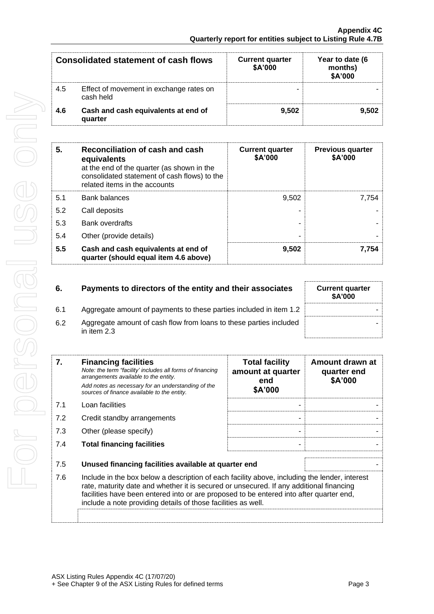| <b>Consolidated statement of cash flows</b> |                                                      | <b>Current quarter</b><br>\$A'000 | Year to date (6<br>months)<br>\$A'000 |
|---------------------------------------------|------------------------------------------------------|-----------------------------------|---------------------------------------|
| 4.5                                         | Effect of movement in exchange rates on<br>cash held |                                   |                                       |
| 4.6                                         | Cash and cash equivalents at end of<br>quarter       | 9.502                             | 9.502                                 |

| 5.  | Reconciliation of cash and cash<br>equivalents<br>at the end of the quarter (as shown in the<br>consolidated statement of cash flows) to the<br>related items in the accounts | <b>Current quarter</b><br>\$A'000 | <b>Previous quarter</b><br>\$A'000 |
|-----|-------------------------------------------------------------------------------------------------------------------------------------------------------------------------------|-----------------------------------|------------------------------------|
| 5.1 | <b>Bank balances</b>                                                                                                                                                          | 9.502                             | 7.754                              |
| 5.2 | Call deposits                                                                                                                                                                 |                                   |                                    |
| 5.3 | <b>Bank overdrafts</b>                                                                                                                                                        |                                   |                                    |
| 5.4 | Other (provide details)                                                                                                                                                       |                                   |                                    |
| 5.5 | Cash and cash equivalents at end of<br>quarter (should equal item 4.6 above)                                                                                                  | 9,502                             | 7.754                              |

| 6.  | Payments to directors of the entity and their associates                          | <b>Current quarter</b><br>\$A'000 |
|-----|-----------------------------------------------------------------------------------|-----------------------------------|
| 6.1 | Aggregate amount of payments to these parties included in item 1.2                |                                   |
| 6.2 | Aggregate amount of cash flow from loans to these parties included<br>in item 2.3 |                                   |

| 7.  | <b>Financing facilities</b><br>Note: the term "facility' includes all forms of financing<br>arrangements available to the entity.<br>Add notes as necessary for an understanding of the<br>sources of finance available to the entity.                                                                                                               | <b>Total facility</b><br>amount at quarter<br>end<br>\$A'000 | Amount drawn at<br>quarter end<br>\$A'000 |
|-----|------------------------------------------------------------------------------------------------------------------------------------------------------------------------------------------------------------------------------------------------------------------------------------------------------------------------------------------------------|--------------------------------------------------------------|-------------------------------------------|
| 7.1 | Loan facilities                                                                                                                                                                                                                                                                                                                                      |                                                              |                                           |
| 7.2 | Credit standby arrangements                                                                                                                                                                                                                                                                                                                          |                                                              |                                           |
| 7.3 | Other (please specify)                                                                                                                                                                                                                                                                                                                               |                                                              |                                           |
| 7.4 | <b>Total financing facilities</b>                                                                                                                                                                                                                                                                                                                    | ۰                                                            |                                           |
| 7.5 | Unused financing facilities available at quarter end                                                                                                                                                                                                                                                                                                 |                                                              |                                           |
| 7.6 | Include in the box below a description of each facility above, including the lender, interest<br>rate, maturity date and whether it is secured or unsecured. If any additional financing<br>facilities have been entered into or are proposed to be entered into after quarter end,<br>include a note providing details of those facilities as well. |                                                              |                                           |
|     |                                                                                                                                                                                                                                                                                                                                                      |                                                              |                                           |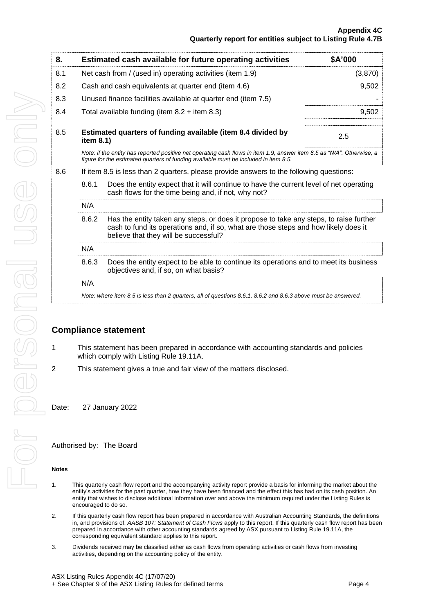| 8.  |                                                           | Estimated cash available for future operating activities                                                                                                                                                               | \$A'000 |  |
|-----|-----------------------------------------------------------|------------------------------------------------------------------------------------------------------------------------------------------------------------------------------------------------------------------------|---------|--|
| 8.1 | Net cash from / (used in) operating activities (item 1.9) |                                                                                                                                                                                                                        | (3,870) |  |
| 8.2 |                                                           | Cash and cash equivalents at quarter end (item 4.6)                                                                                                                                                                    | 9,502   |  |
| 8.3 |                                                           | Unused finance facilities available at quarter end (item 7.5)                                                                                                                                                          |         |  |
| 8.4 |                                                           | Total available funding (item $8.2 +$ item $8.3$ )                                                                                                                                                                     | 9,502   |  |
| 8.5 | item 8.1)                                                 | Estimated quarters of funding available (item 8.4 divided by                                                                                                                                                           | 2.5     |  |
|     |                                                           | Note: if the entity has reported positive net operating cash flows in item 1.9, answer item 8.5 as "N/A". Otherwise, a<br>figure for the estimated quarters of funding available must be included in item 8.5.         |         |  |
| 8.6 |                                                           | If item 8.5 is less than 2 quarters, please provide answers to the following questions:                                                                                                                                |         |  |
|     | 8.6.1                                                     | Does the entity expect that it will continue to have the current level of net operating<br>cash flows for the time being and, if not, why not?                                                                         |         |  |
|     | N/A                                                       |                                                                                                                                                                                                                        |         |  |
|     | 8.6.2                                                     | Has the entity taken any steps, or does it propose to take any steps, to raise further<br>cash to fund its operations and, if so, what are those steps and how likely does it<br>believe that they will be successful? |         |  |
|     | N/A                                                       |                                                                                                                                                                                                                        |         |  |
|     | 8.6.3                                                     | Does the entity expect to be able to continue its operations and to meet its business<br>objectives and, if so, on what basis?                                                                                         |         |  |
|     | N/A                                                       |                                                                                                                                                                                                                        |         |  |
|     |                                                           | Note: where item 8.5 is less than 2 quarters, all of questions 8.6.1, 8.6.2 and 8.6.3 above must be answered.                                                                                                          |         |  |
|     |                                                           |                                                                                                                                                                                                                        |         |  |

### **Compliance statement**

- 1 This statement has been prepared in accordance with accounting standards and policies which comply with Listing Rule 19.11A.
- 2 This statement gives a true and fair view of the matters disclosed.

Date: 27 January 2022

Authorised by: The Board

#### **Notes**

- 1. This quarterly cash flow report and the accompanying activity report provide a basis for informing the market about the entity's activities for the past quarter, how they have been financed and the effect this has had on its cash position. An entity that wishes to disclose additional information over and above the minimum required under the Listing Rules is encouraged to do so.
- 2. If this quarterly cash flow report has been prepared in accordance with Australian Accounting Standards, the definitions in, and provisions of, *AASB 107: Statement of Cash Flows* apply to this report. If this quarterly cash flow report has been prepared in accordance with other accounting standards agreed by ASX pursuant to Listing Rule 19.11A, the corresponding equivalent standard applies to this report.
- 3. Dividends received may be classified either as cash flows from operating activities or cash flows from investing activities, depending on the accounting policy of the entity.